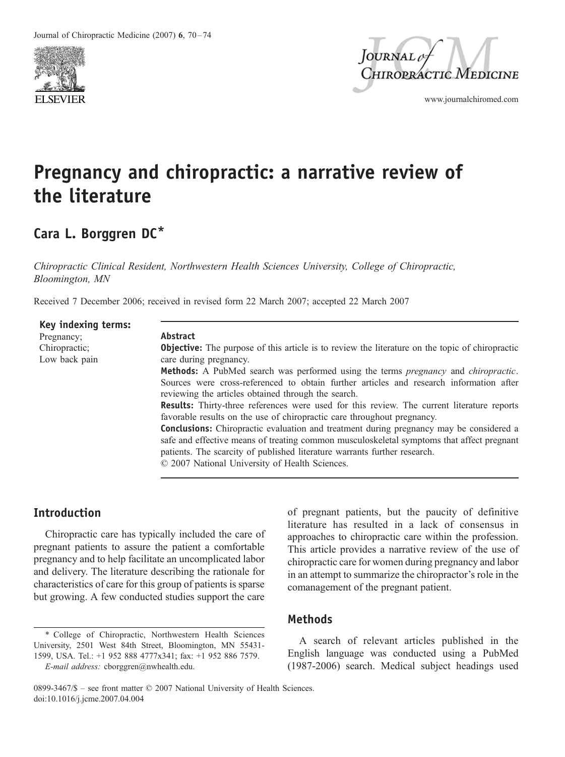



www.journalchiromed.com

# Pregnancy and chiropractic: a narrative review of the literature

## Cara L. Borggren DC\*

Chiropractic Clinical Resident, Northwestern Health Sciences University, College of Chiropractic, Bloomington, MN

Received 7 December 2006; received in revised form 22 March 2007; accepted 22 March 2007

| Key indexing terms: |  |
|---------------------|--|
| Pregnancy;          |  |
| Chiropractic;       |  |
| Low back pain       |  |

#### Abstract

**Objective:** The purpose of this article is to review the literature on the topic of chiropractic care during pregnancy.

Methods: A PubMed search was performed using the terms pregnancy and chiropractic. Sources were cross-referenced to obtain further articles and research information after reviewing the articles obtained through the search.

Results: Thirty-three references were used for this review. The current literature reports favorable results on the use of chiropractic care throughout pregnancy.

Conclusions: Chiropractic evaluation and treatment during pregnancy may be considered a safe and effective means of treating common musculoskeletal symptoms that affect pregnant patients. The scarcity of published literature warrants further research.

 $© 2007 National University of Health Sciences.$ 

## Introduction

Chiropractic care has typically included the care of pregnant patients to assure the patient a comfortable pregnancy and to help facilitate an uncomplicated labor and delivery. The literature describing the rationale for characteristics of care for this group of patients is sparse but growing. A few conducted studies support the care of pregnant patients, but the paucity of definitive literature has resulted in a lack of consensus in approaches to chiropractic care within the profession. This article provides a narrative review of the use of chiropractic care for women during pregnancy and labor in an attempt to summarize the chiropractor's role in the comanagement of the pregnant patient.

## Methods

A search of relevant articles published in the English language was conducted using a PubMed (1987-2006) search. Medical subject headings used

<sup>\*</sup> College of Chiropractic, Northwestern Health Sciences University, 2501 West 84th Street, Bloomington, MN 55431- 1599, USA. Tel.: +1 952 888 4777x341; fax: +1 952 886 7579. E-mail address: cborggren@nwhealth.edu.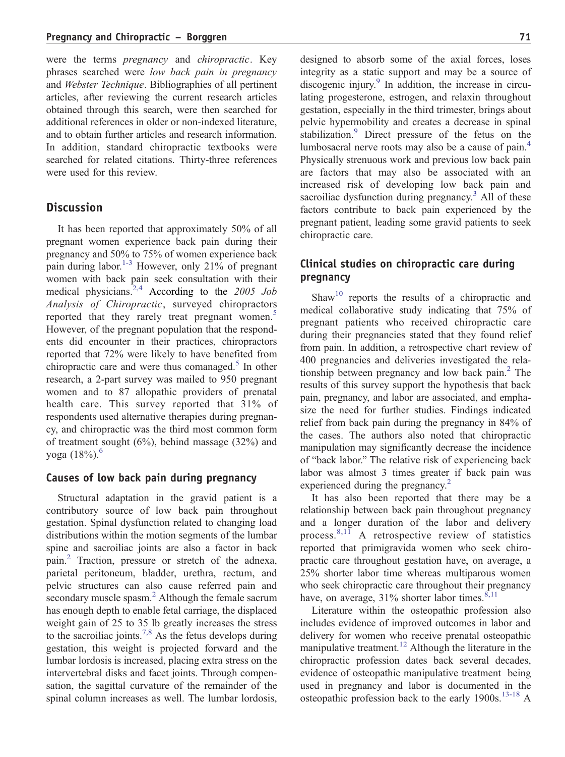were the terms pregnancy and chiropractic. Key phrases searched were low back pain in pregnancy and Webster Technique. Bibliographies of all pertinent articles, after reviewing the current research articles obtained through this search, were then searched for additional references in older or non-indexed literature, and to obtain further articles and research information. In addition, standard chiropractic textbooks were searched for related citations. Thirty-three references were used for this review.

## **Discussion**

It has been reported that approximately 50% of all pregnant women experience back pain during their pregnancy and 50% to 75% of women experience back pain during labor.<sup>1-3</sup> However, only 21% of pregnant women with back pain seek consultation with their medical physicians. $2.4$  According to the 2005 Job Analysis of Chiropractic, surveyed chiropractors reported that they rarely treat pregnant wom[en.](#page-4-0)<sup>5</sup> However, of the pregnant population that the respondents did encounter in their practices, chiropractors reported that 72% were likely to have benefited from chiropractic care and were thus comanaged. $5$  In other research, a 2-part survey was mailed to 950 pregnant women and to 87 allopathic providers of prenatal health care. This survey reported that 31% of respondents used alternative therapies during pregnancy, and chiropractic was the third most common form of treatment sought  $(6\%)$ , behind massage  $(32\%)$  and yoga  $(18\%)$ .<sup>6</sup>

## Causes of low back pain during pregnancy

Structural adaptation in the gravid patient is a contributory source of low back pain throughout gestation. Spinal dysfunction related to changing load distributions within the motion segments of the lumbar spine and sacroiliac joints are also a factor in back pai[n.2](#page-4-0) Traction, pressure or stretch of the adnexa, parietal peritoneum, bladder, urethra, rectum, and pelvic structures can [also](#page-4-0) cause referred pain and secondary muscle spasm.<sup>2</sup> Although the female sacrum has enough depth to enable fetal carriage, the displaced weight gain of 25 t[o 35 lb](#page-4-0) greatly increases the stress to the sacroiliac joints.<sup>7,8</sup> As the fetus develops during gestation, this weight is projected forward and the lumbar lordosis is increased, placing extra stress on the intervertebral disks and facet joints. Through compensation, the sagittal curvature of the remainder of the spinal column increases as well. The lumbar lordosis,

designed to absorb some of the axial forces, loses integrity as a st[atic](#page-4-0) support and may be a source of discogenic injury. $\degree$  In addition, the increase in circulating progesterone, estrogen, and relaxin throughout gestation, especially in the third trimester, brings about pelvic hyp[erm](#page-4-0)obility and creates a decrease in spinal stabilization.<sup>9</sup> Direct pressure of the fetus on the lumbosacral nerve roots may also be a cause of pa[in.4](#page-4-0) Physically strenuous work and previous low back pain are factors that may also be associated with an increased risk of developing low back pain and sacroiliac dysfunction during pregnancy. $3$  All of these factors contribute to back pain experienced by the pregnant patient, leading some gravid patients to seek chiropractic care.

## Clinical studies on chiropractic care during pregnancy

Shaw<sup>10</sup> reports the results of a chiropractic and medical collaborative study indicating that 75% of pregnant patients who received chiropractic care during their pregnancies stated that they found relief from pain. In addition, a retrospective chart review of 400 pregnancies and deliveries investigated the relationship between pregnancy and low back pain. $<sup>2</sup>$  The</sup> results of this survey support the hypothesis that back pain, pregnancy, and labor are associated, and emphasize the need for further studies. Findings indicated relief from back pain during the pregnancy in 84% of the cases. The authors also noted that chiropractic manipulation may significantly decrease the incidence of "back labor." The relative risk of experiencing back labor was almost 3 times greater if back pain was experienced during the pregna[ncy.](#page-4-0)<sup>2</sup>

It has also been reported that there may be a relationship between back pain throughout pregnancy and a [longer](#page-4-0) duration of the labor and delivery process. $8,11$  A retrospective review of statistics reported that primigravida women who seek chiropractic care throughout gestation have, on average, a 25% shorter labor time whereas multiparous women who seek chiropractic care throughout [their pregna](#page-4-0)ncy have, on average,  $31\%$  shorter labor times.<sup>8,11</sup>

Literature within the osteopathic profession also includes evidence of improved outcomes in labor and delivery for women who receive prenatal osteopathic manipulative treatment.<sup>12</sup> Although the literature in the chiropractic profession dates back several decades, evidence of osteopathic manipulative treatment being used in pregnancy and labor is documented in the osteopathic profession back to the early  $1900s$ .<sup>13-18</sup> A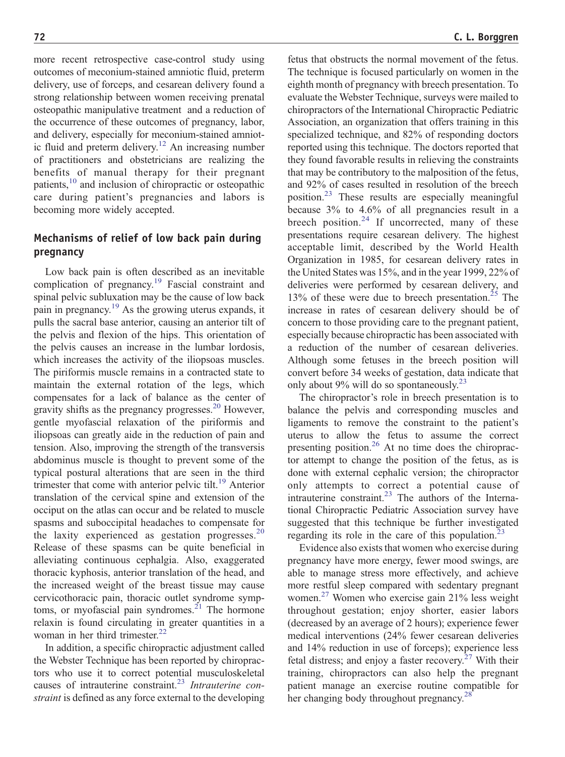more recent retrospective case-control study using outcomes of meconium-stained amniotic fluid, preterm delivery, use of forceps, and cesarean delivery found a strong relationship between women receiving prenatal osteopathic manipulative treatment and a reduction of the occurrence of these outcomes of pregnancy, labor, and delivery, especially f[or mecon](#page-4-0)ium-stained amniotic fluid and preterm delivery.<sup>12</sup> An increasing number of practitioners and obstetricians are realizing the ben[efits of](#page-4-0) manual therapy for their pregnant patients,<sup>10</sup> and inclusion of chiropractic or osteopathic care during patient's pregnancies and labors is becoming more widely accepted.

## Mechanisms of relief of low back pain during pregnancy

Low back pain is ofte[n descr](#page-4-0)ibed as an inevitable complication of pregnancy.<sup>19</sup> Fascial constraint and spinal pelvic su[bluxatio](#page-4-0)n may be the cause of low back pain in pregnancy.19 As the growing uterus expands, it pulls the sacral base anterior, causing an anterior tilt of the pelvis and flexion of the hips. This orientation of the pelvis causes an increase in the lumbar lordosis, which increases the activity of the iliopsoas muscles. The piriformis muscle remains in a contracted state to maintain the external rotation of the legs, which compensates for a lack of balance as [the ce](#page-4-0)nter of gravity shifts as the pregnancy progresses.<sup>20</sup> However, gentle myofascial relaxation of the piriformis and iliopsoas can greatly aide in the reduction of pain and tension. Also, improving the strength of the transversis abdominus muscle is thought to prevent some of the typical postural alterations that are seen [in the](#page-4-0) third trimester that come with anterior pelvic tilt.<sup>19</sup> Anterior translation of the cervical spine and extension of the occiput on the atlas can occur and be related to muscle spasms and suboccipital headaches to compensat[e for](#page-4-0) the laxity experienced as gestation progresses.<sup>20</sup> Release of these spasms can be quite beneficial in alleviating continuous cephalgia. Also, exaggerated thoracic kyphosis, anterior translation of the head, and the increased weight of the breast tissue may cause cervicothoracic pain, thoracic outle[t synd](#page-4-0)rome symptoms, or myofascial pain syndromes.<sup>21</sup> The hormone relaxin is found circulating in greater quantities in a woman in her third trimester.<sup>22</sup>

In addition, a specific chiropractic adjustment called the Webster Technique has been reported by chiropractors who use it to correct po[tential](#page-4-0) musculoskeletal causes of intrauterine constraint.<sup>23</sup> Intrauterine constraint is defined as any force external to the developing fetus that obstructs the normal movement of the fetus. The technique is focused particularly on women in the eighth month of pregnancy with breech presentation. To evaluate the Webster Technique, surveys were mailed to chiropractors of the International Chiropractic Pediatric Association, an organization that offers training in this specialized technique, and 82% of responding doctors reported using this technique. The doctors reported that they found favorable results in relieving the constraints that may be contributory to the malposition of the fetus, and 9[2% of c](#page-4-0)ases resulted in resolution of the breech position.<sup>23</sup> These results are especially meaningful because 3% t[o 4.6%](#page-4-0) of all pregnancies result in a breech position.<sup>24</sup> If uncorrected, many of these presentations require cesarean delivery. The highest acceptable limit, described by the World Health Organization in 1985, for cesarean delivery rates in the United States was 15%, and in the year 1999, 22% of deliveries were performed by cesarean deli[very, an](#page-4-0)d 13% of these were due to breech presentation.<sup>25</sup> The increase in rates of cesarean delivery should be of concern to those providing care to the pregnant patient, especially because chiropractic has been associated with a reduction of the number of cesarean deliveries. Although some fetuses in the breech position will convert before 34 weeks of gestation, d[ata ind](#page-4-0)icate that only about  $9\%$  will do so spontaneously.<sup>23</sup>

The chiropractor's role in breech presentation is to balance the pelvis and corresponding muscles and ligaments to remove the constraint to the patient's uterus to allow [the f](#page-4-0)etus to assume the correct presenting position.<sup>26</sup> At no time does the chiropractor attempt to change the position of the fetus, as is done with external cephalic version; the chiropractor only attempts to [correc](#page-4-0)t a potential cause of intrauterine constraint. $^{23}$  The authors of the International Chiropractic Pediatric Association survey have suggested that this technique be further in[vestigated](#page-4-0) regarding its role in the care of this population.<sup>23</sup>

Evidence also exists that women who exercise during pregnancy have more energy, fewer mood swings, are able to manage stress more effectively, and achieve mor[e restful](#page-4-0) sleep compared with sedentary pregnant women.<sup>27</sup> Women who exercise gain 21% less weight throughout gestation; enjoy shorter, easier labors (decreased by an average of 2 hours); experience fewer medical interventions (24% fewer cesarean deliveries and 14% reduction in use of forceps)[; experie](#page-4-0)nce less fetal distress; and enjoy a faster recovery.<sup>27</sup> With their training, chiropractors can also help the pregnant patient manage an exercise routine [compat](#page-4-0)ible for her changing body throughout pregnancy.<sup>28</sup>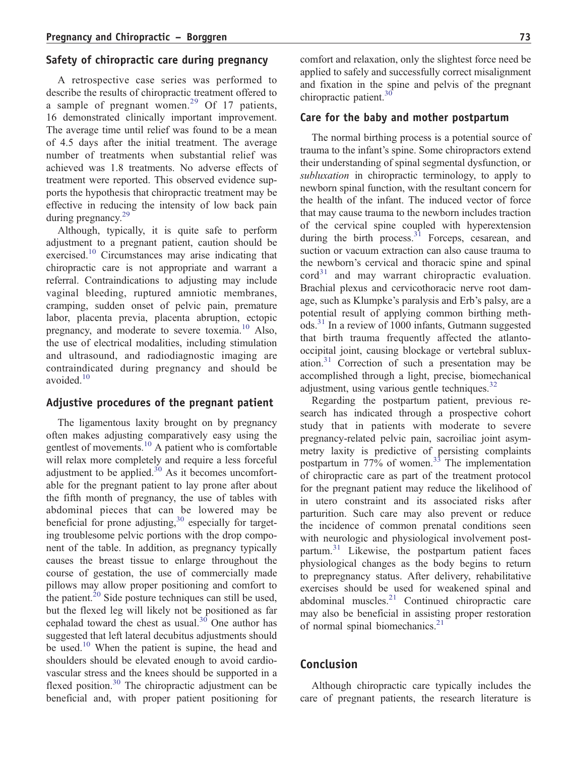## Safety of chiropractic care during pregnancy

A retrospective case series was performed to describe the results of chiropractic treatment offered to a sample of pregnant wom[en.](#page-4-0)<sup>29</sup> Of 17 patients, 16 demonstrated clinically important improvement. The average time until relief was found to be a mean of 4.5 days after the initial treatment. The average number of treatments when substantial relief was achieved was 1.8 treatments. No adverse effects of treatment were reported. This observed evidence supports the hypothesis that chiropractic treatment may be effective in reducing the intensity of low back pain during pregnancy.<sup>29</sup>

Although, typically, it is quite safe to perform adjustment to a pregnant patient, caution should be exercised.<sup>10</sup> Circumstances may arise indicating that chiropractic care is not appropriate and warrant a referral. Contraindications to adjusting may include vaginal bleeding, ruptured amniotic membranes, cramping, sudden onset of pelvic pain, premature labor, placenta previa, placenta abruption, ectopic pregnancy, and moderate to severe toxe[mia.](#page-4-0) $^{10}$  Also, the use of electrical modalities, including stimulation and ultrasound, and radiodiagnostic imaging are contraindicated during pregnancy and should be avoided.<sup>10</sup>

#### Adjustive procedures of the pregnant patient

The ligamentous laxity brought on by pregnancy often makes adjusting comparatively easy using the gentlest of movements.<sup>10</sup> A patient who is comfortable will relax more completely and require a less forceful adjustment to be applie[d.](#page-4-0) $30$  As it becomes uncomfortable for the pregnant patient to lay prone after about the fifth month of pregnancy, the use of tables with abdominal pieces that can be lowered may be beneficial for prone adjusting,  $30$  especially for targeting troublesome pelvic portions with the drop component of the table. In addition, as pregnancy typically causes the breast tissue to enlarge throughout the course of gestation, the use of commercially made pillows may allow proper positioning and comfort to the patient.<sup>20</sup> Side posture techniques can still be used, but the flexed leg will likely not be positioned as far cephalad toward the chest as usual. $30$  One author has suggested that left lateral decubitus adjustments should be used.<sup>10</sup> When the patient is supine, the head and shoulders should be elevated enough to avoid cardiovascular stress and the knees should be supported in a flexed position.[30](#page-4-0) The chiropractic adjustment can be beneficial and, with proper patient positioning for

comfort and relaxation, only the slightest force need be applied to safely and successfully correct misalignment and fixation in the spine and pelvis of the pregnant chiropractic patient. $30$ 

#### Care for the baby and mother postpartum

The normal birthing process is a potential source of trauma to the infant's spine. Some chiropractors extend their understanding of spinal segmental dysfunction, or subluxation in chiropractic terminology, to apply to newborn spinal function, with the resultant concern for the health of the infant. The induced vector of force that may cause trauma to the newborn includes traction of the cervical spine coupled with hyperextension during the birth process. $3\overline{1}$  Forceps, cesarean, and suction or vacuum extraction can also cause trauma to the newborn's cervical and thoracic spine and spinal  $\text{cord}^{31}$  $\text{cord}^{31}$  $\text{cord}^{31}$  and may warrant chiropractic evaluation. Brachial plexus and cervicothoracic nerve root damage, such as Klumpke's paralysis and Erb's palsy, are a potential result of applying common birthing meth[ods.31](#page-4-0) In a review of 1000 infants, Gutmann suggested that birth trauma frequently affected the atlantooccipital joint, causing blockage or vertebral subluxation. $31$  Correction of such a presentation may be accomplished through a light, precise, biomechanical adjustment, using various gentle techniques.<sup>32</sup>

Regarding the postpartum patient, previous research has indicated through a prospective cohort study that in patients with moderate to severe pregnancy-related pelvic pain, sacroiliac joint asymmetry laxity is predictive of persisting complaints postpartum in  $77\%$  of wome[n.](#page-4-0)<sup>33</sup> The implementation of chiropractic care as part of the treatment protocol for the pregnant patient may reduce the likelihood of in utero constraint and its associated risks after parturition. Such care may also prevent or reduce the incidence of common prenatal conditions seen with neurologic and physiological involvement postpartu[m.](#page-4-0)<sup>31</sup> Likewise, the postpartum patient faces physiological changes as the body begins to return to prepregnancy status. After delivery, rehabilitative exercises should be used for weakened spinal and abdominal muscles.<sup>[21](#page-4-0)</sup> Continued chiropractic care may also be beneficial in assisting proper restoration of normal spinal biomechanics. $2<sup>1</sup>$ 

## Conclusion

Although chiropractic care typically includes the care of pregnant patients, the research literature is